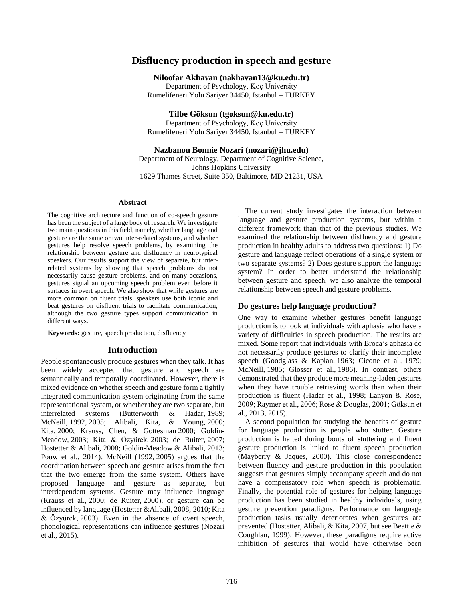# **Disfluency production in speech and gesture**

**Niloofar Akhavan (nakhavan13@ku.edu.tr)**

Department of Psychology, Koç University Rumelifeneri Yolu Sariyer 34450, Istanbul – TURKEY

**Tilbe Göksun (tgoksun@ku.edu.tr)**

Department of Psychology, Koç University Rumelifeneri Yolu Sariyer 34450, Istanbul – TURKEY

## **Nazbanou Bonnie Nozari (nozari@jhu.edu)**

Department of Neurology, Department of Cognitive Science, Johns Hopkins University 1629 Thames Street, Suite 350, Baltimore, MD 21231, USA

#### **Abstract**

The cognitive architecture and function of co-speech gesture has been the subject of a large body of research. We investigate two main questions in this field, namely, whether language and gesture are the same or two inter-related systems, and whether gestures help resolve speech problems, by examining the relationship between gesture and disfluency in neurotypical speakers. Our results support the view of separate, but interrelated systems by showing that speech problems do not necessarily cause gesture problems, and on many occasions, gestures signal an upcoming speech problem even before it surfaces in overt speech. We also show that while gestures are more common on fluent trials, speakers use both iconic and beat gestures on disfluent trials to facilitate communication, although the two gesture types support communication in different ways.

**Keywords:** gesture, speech production, disfluency

#### **Introduction**

People spontaneously produce gestures when they talk. It has been widely accepted that gesture and speech are semantically and temporally coordinated. However, there is mixed evidence on whether speech and gesture form a tightly integrated communication system originating from the same representational system, or whether they are two separate, but interrelated systems (Butterworth & Hadar, [1989;](http://www.ncbi.nlm.nih.gov/pmc/articles/PMC4563879/#B7) McNeill, [1992,](http://www.ncbi.nlm.nih.gov/pmc/articles/PMC4563879/#B36) [2005;](http://www.ncbi.nlm.nih.gov/pmc/articles/PMC4563879/#B37) Alibali, Kita, & Young, [2000;](http://www.ncbi.nlm.nih.gov/pmc/articles/PMC4563879/#B2) Kita, [2000;](http://www.ncbi.nlm.nih.gov/pmc/articles/PMC4563879/#B28) Krauss, Chen, & Gottesman [2000;](http://www.ncbi.nlm.nih.gov/pmc/articles/PMC4563879/#B32) Goldin-Meadow, [2003;](http://www.ncbi.nlm.nih.gov/pmc/articles/PMC4563879/#B19) Kita & Özyürek, [2003;](http://www.ncbi.nlm.nih.gov/pmc/articles/PMC4563879/#B29) de Ruiter, [2007;](http://www.ncbi.nlm.nih.gov/pmc/articles/PMC4563879/#B15) Hostetter & Alibali, [2008;](http://www.ncbi.nlm.nih.gov/pmc/articles/PMC4563879/#B24) Goldin-Meadow & Alibali, [2013;](http://www.ncbi.nlm.nih.gov/pmc/articles/PMC4563879/#B20) Pouw et al., 2014). McNeill [\(1992,](http://www.ncbi.nlm.nih.gov/pmc/articles/PMC4563879/#B36) [2005\)](http://www.ncbi.nlm.nih.gov/pmc/articles/PMC4563879/#B37) argues that the coordination between speech and gesture arises from the fact that the two emerge from the same system. Others have proposed language and gesture as separate, but interdependent systems. Gesture may influence language (Krauss et al., [2000;](http://www.ncbi.nlm.nih.gov/pmc/articles/PMC4563879/#B32) de Ruiter, [2000\)](http://www.ncbi.nlm.nih.gov/pmc/articles/PMC4563879/#B14), or gesture can be influenced by language (Hostetter &Alibali, 2008, [2010;](http://www.ncbi.nlm.nih.gov/pmc/articles/PMC4563879/#B25) Kita & Özyürek, [2003\)](http://www.ncbi.nlm.nih.gov/pmc/articles/PMC4563879/#B29). Even in the absence of overt speech, phonological representations can influence gestures (Nozari et al., 2015).

The current study investigates the interaction between language and gesture production systems, but within a different framework than that of the previous studies. We examined the relationship between disfluency and gesture production in healthy adults to address two questions: 1) Do gesture and language reflect operations of a single system or two separate systems? 2) Does gesture support the language system? In order to better understand the relationship between gesture and speech, we also analyze the temporal relationship between speech and gesture problems.

## **Do gestures help language production?**

One way to examine whether gestures benefit language production is to look at individuals with aphasia who have a variety of difficulties in speech production. The results are mixed. Some report that individuals with Broca's aphasia do not necessarily produce gestures to clarify their incomplete speech (Goodglass & Kaplan, [1963;](http://www.ncbi.nlm.nih.gov/pmc/articles/PMC4563879/#B22) Cicone et al., [1979;](http://www.ncbi.nlm.nih.gov/pmc/articles/PMC4563879/#B9) McNeill, [1985;](http://www.ncbi.nlm.nih.gov/pmc/articles/PMC4563879/#B35) Glosser et al., 1986). In contrast, others demonstrated that they produce more meaning-laden gestures when they have trouble retrieving words than when their production is fluent (Hadar et al., 1998; Lanyon & Rose, 2009; Raymer et al., 2006; Rose & Douglas, 2001; Göksun et al., 2013, 2015).

A second population for studying the benefits of gesture for language production is people who stutter. Gesture production is halted during bouts of stuttering and fluent gesture production is linked to fluent speech production (Mayberry & Jaques, 2000). This close correspondence between fluency and gesture production in this population suggests that gestures simply accompany speech and do not have a compensatory role when speech is problematic. Finally, the potential role of gestures for helping language production has been studied in healthy individuals, using gesture prevention paradigms. Performance on language production tasks usually deteriorates when gestures are prevented (Hostetter, Alibali, & Kita, 2007, but see Beattie & Coughlan, 1999). However, these paradigms require active inhibition of gestures that would have otherwise been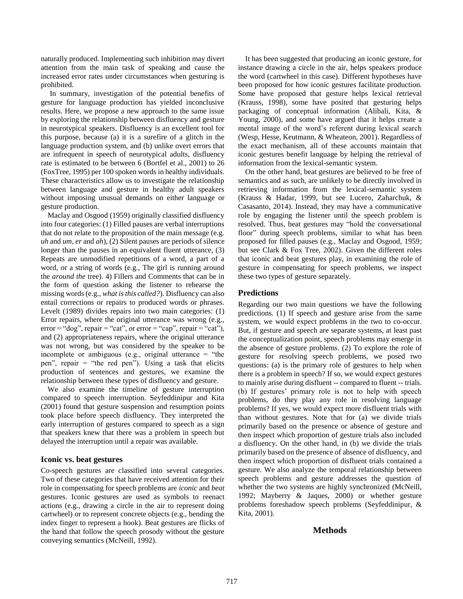naturally produced. Implementing such inhibition may divert attention from the main task of speaking and cause the increased error rates under circumstances when gesturing is prohibited.

In summary, investigation of the potential benefits of gesture for language production has yielded inconclusive results. Here, we propose a new approach to the same issue by exploring the relationship between disfluency and gesture in neurotypical speakers. Disfluency is an excellent tool for this purpose, because (a) it is a surefire of a glitch in the language production system, and (b) unlike overt errors that are infrequent in speech of neurotypical adults, disfluency rate is estimated to be between 6 (Bortfel et al., 2001) to 26 (FoxTree, 1995) per 100 spoken words in healthy individuals. These characteristics allow us to investigate the relationship between language and gesture in healthy adult speakers without imposing unusual demands on either language or gesture production.

Maclay and Osgood (1959) originally classified disfluency into four categories: (1) Filled pauses are verbal interruptions that do not relate to the proposition of the main message (e.g. *uh* and *um*, *er* and *ah*), (2) Silent pauses are periods of silence longer than the pauses in an equivalent fluent utterance, (3) Repeats are unmodified repetitions of a word, a part of a word, or a string of words (e.g., The girl is running around the *around the* tree). 4) Fillers and Comments that can be in the form of question asking the listener to rehearse the missing words (e.g., *what is this called?*). Disfluency can also entail corrections or repairs to produced words or phrases. Levelt (1989) divides repairs into two main categories: (1) Error repairs, where the original utterance was wrong (e.g.,  $error = "dog", repair = "cat", or error = "cap", repair = "cat"),$ and (2) appropriateness repairs, where the original utterance was not wrong, but was considered by the speaker to be incomplete or ambiguous (e.g., original utterance  $=$  "the pen", repair  $=$  "the red pen"). Using a task that elicits production of sentences and gestures, we examine the relationship between these types of disfluency and gesture.

We also examine the timeline of gesture interruption compared to speech interruption. Seyfeddinipur and Kita (2001) found that gesture suspension and resumption points took place before speech disfluency. They interpreted the early interruption of gestures compared to speech as a sign that speakers knew that there was a problem in speech but delayed the interruption until a repair was available.

## **Iconic vs. beat gestures**

Co-speech gestures are classified into several categories. Two of these categories that have received attention for their role in compensating for speech problems are *iconic* and *beat* gestures. Iconic gestures are used as symbols to reenact actions (e.g., drawing a circle in the air to represent doing cartwheel) or to represent concrete objects (e.g., bending the index finger to represent a hook). Beat gestures are flicks of the hand that follow the speech prosody without the gesture conveying semantics (McNeill, 1992).

It has been suggested that producing an iconic gesture, for instance drawing a circle in the air, helps speakers produce the word (cartwheel in this case). Different hypotheses have been proposed for how iconic gestures facilitate production. Some have proposed that gesture helps lexical retrieval (Krauss, 1998), some have posited that gesturing helps packaging of conceptual information (Alibali, Kita, & Young, 2000), and some have argued that it helps create a mental image of the word's referent during lexical search (Wesp, Hesse, Keutmann, & Wheateon, 2001). Regardless of the exact mechanism, all of these accounts maintain that iconic gestures benefit language by helping the retrieval of information from the lexical-semantic system.

On the other hand, beat gestures are believed to be free of semantics and as such, are unlikely to be directly involved in retrieving information from the lexical-semantic system (Krauss & Hadar, 1999, but see Lucero, Zaharchuk, & Casasanto, 2014). Instead, they may have a communicative role by engaging the listener until the speech problem is resolved. Thus, beat gestures may "hold the conversational floor" during speech problems, similar to what has been proposed for filled pauses (e.g., Maclay and Osgood, 1959; but see Clark & Fox Tree, 2002). Given the different roles that iconic and beat gestures play, in examining the role of gesture in compensating for speech problems, we inspect these two types of gesture separately.

## **Predictions**

Regarding our two main questions we have the following predictions. (1) If speech and gesture arise from the same system, we would expect problems in the two to co-occur. But, if gesture and speech are separate systems, at least past the conceptualization point, speech problems may emerge in the absence of gesture problems. (2) To explore the role of gesture for resolving speech problems, we posed two questions: (a) is the primary role of gestures to help when there is a problem in speech? If so, we would expect gestures to mainly arise during disfluent -- compared to fluent -- trials. (b) If gestures' primary role is not to help with speech problems, do they play any role in resolving language problems? If yes, we would expect more disfluent trials with than without gestures. Note that for (a) we divide trials primarily based on the presence or absence of gesture and then inspect which proportion of gesture trials also included a disfluency. On the other hand, in (b) we divide the trials primarily based on the presence of absence of disfluency, and then inspect which proportion of disfluent trials contained a gesture. We also analyze the temporal relationship between speech problems and gesture addresses the question of whether the two systems are highly synchronized (McNeill, 1992; Mayberry & Jaques, 2000) or whether gesture problems foreshadow speech problems (Seyfeddinipur, & Kita, 2001).

## **Methods**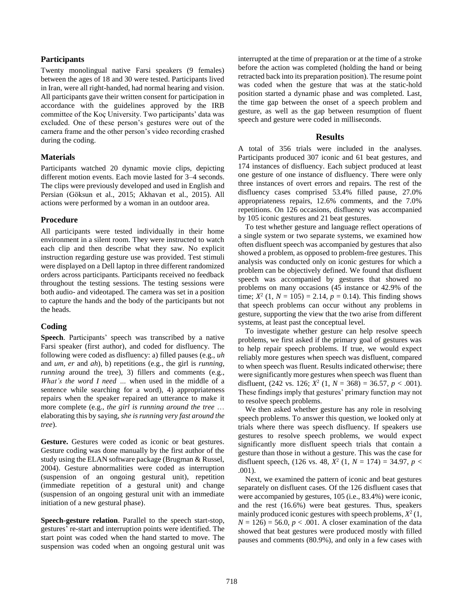## **Participants**

Twenty monolingual native Farsi speakers (9 females) between the ages of 18 and 30 were tested. Participants lived in Iran, were all right-handed, had normal hearing and vision. All participants gave their written consent for participation in accordance with the guidelines approved by the IRB committee of the Koç University. Two participants' data was excluded. One of these person's gestures were out of the camera frame and the other person's video recording crashed during the coding.

## **Materials**

Participants watched 20 dynamic movie clips, depicting different motion events. Each movie lasted for 3–4 seconds. The clips were previously developed and used in English and Persian (Göksun et al., 2015; Akhavan et al., 2015). All actions were performed by a woman in an outdoor area.

## **Procedure**

All participants were tested individually in their home environment in a silent room. They were instructed to watch each clip and then describe what they saw. No explicit instruction regarding gesture use was provided. Test stimuli were displayed on a Dell laptop in three different randomized orders across participants. Participants received no feedback throughout the testing sessions. The testing sessions were both audio- and videotaped. The camera was set in a position to capture the hands and the body of the participants but not the heads.

# **Coding**

**Speech**. Participants' speech was transcribed by a native Farsi speaker (first author), and coded for disfluency. The following were coded as disfluency: a) filled pauses (e.g., *uh* and *um, er* and *ah*), b) repetitions (e.g., the girl is *running, running* around the tree), 3) fillers and comments (e.g., *What's the word I need …* when used in the middle of a sentence while searching for a word), 4) appropriateness repairs when the speaker repaired an utterance to make it more complete (e.g., *the girl is running around the tree* … elaborating this by saying, *she is running very fast around the tree*).

**Gesture.** Gestures were coded as iconic or beat gestures. Gesture coding was done manually by the first author of the study using the ELAN software package (Brugman & Russel, 2004). Gesture abnormalities were coded as interruption (suspension of an ongoing gestural unit), repetition (immediate repetition of a gestural unit) and change (suspension of an ongoing gestural unit with an immediate initiation of a new gestural phase).

**Speech-gesture relation**. Parallel to the speech start-stop, gestures' re-start and interruption points were identified. The start point was coded when the hand started to move. The suspension was coded when an ongoing gestural unit was interrupted at the time of preparation or at the time of a stroke before the action was completed (holding the hand or being retracted back into its preparation position). The resume point was coded when the gesture that was at the static-hold position started a dynamic phase and was completed. Last, the time gap between the onset of a speech problem and gesture, as well as the gap between resumption of fluent speech and gesture were coded in milliseconds.

## **Results**

A total of 356 trials were included in the analyses. Participants produced 307 iconic and 61 beat gestures, and 174 instances of disfluency. Each subject produced at least one gesture of one instance of disfluency. There were only three instances of overt errors and repairs. The rest of the disfluency cases comprised 53.4% filled pause, 27.0% appropriateness repairs, 12.6% comments, and the 7.0% repetitions. On 126 occasions, disfluency was accompanied by 105 iconic gestures and 21 beat gestures.

To test whether gesture and language reflect operations of a single system or two separate systems, we examined how often disfluent speech was accompanied by gestures that also showed a problem, as opposed to problem-free gestures. This analysis was conducted only on iconic gestures for which a problem can be objectively defined. We found that disfluent speech was accompanied by gestures that showed no problems on many occasions (45 instance or 42.9% of the time;  $X^2$  (1,  $N = 105$ ) = 2.14,  $p = 0.14$ ). This finding shows that speech problems can occur without any problems in gesture, supporting the view that the two arise from different systems, at least past the conceptual level.

To investigate whether gesture can help resolve speech problems, we first asked if the primary goal of gestures was to help repair speech problems. If true, we would expect reliably more gestures when speech was disfluent, compared to when speech was fluent. Results indicated otherwise; there were significantly more gestures when speech was fluent than disfluent,  $(242 \text{ vs. } 126; X^2 (1, N = 368)) = 36.57, p < .001)$ . These findings imply that gestures' primary function may not to resolve speech problems.

We then asked whether gesture has any role in resolving speech problems. To answer this question, we looked only at trials where there was speech disfluency. If speakers use gestures to resolve speech problems, we would expect significantly more disfluent speech trials that contain a gesture than those in without a gesture. This was the case for disfluent speech,  $(126 \text{ vs. } 48, X^2 (1, N = 174) = 34.97, p <$ .001).

Next, we examined the pattern of iconic and beat gestures separately on disfluent cases. Of the 126 disfluent cases that were accompanied by gestures, 105 (i.e., 83.4%) were iconic, and the rest (16.6%) were beat gestures. Thus, speakers mainly produced iconic gestures with speech problems,  $X^2(1)$ ,  $N = 126$  = 56.0,  $p < .001$ . A closer examination of the data showed that beat gestures were produced mostly with filled pauses and comments (80.9%), and only in a few cases with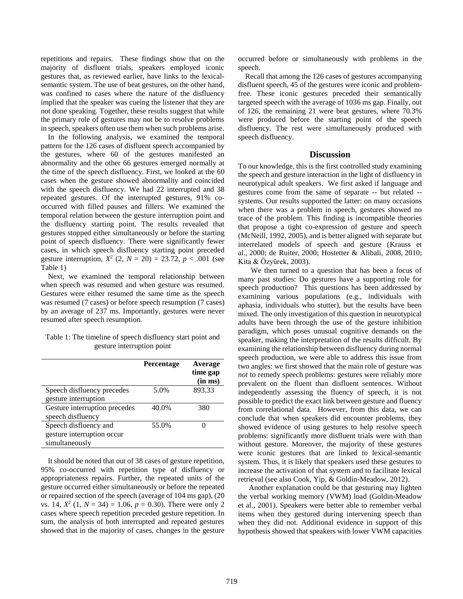repetitions and repairs. These findings show that on the majority of disfluent trials, speakers employed iconic gestures that, as reviewed earlier, have links to the lexicalsemantic system. The use of beat gestures, on the other hand, was confined to cases where the nature of the disfluency implied that the speaker was cueing the listener that they are not done speaking. Together, these results suggest that while the primary role of gestures may not be to resolve problems in speech, speakers often use them when such problems arise.

In the following analysis, we examined the temporal pattern for the 126 cases of disfluent speech accompanied by the gestures, where 60 of the gestures manifested an abnormality and the other 66 gestures emerged normally at the time of the speech disfluency. First, we looked at the 60 cases when the gesture showed abnormality and coincided with the speech disfluency. We had 22 interrupted and 38 repeated gestures. Of the interrupted gestures, 91% cooccurred with filled pauses and fillers. We examined the temporal relation between the gesture interruption point and the disfluency starting point. The results revealed that gestures stopped either simultaneously or before the starting point of speech disfluency. There were significantly fewer cases, in which speech disfluency starting point preceded gesture interruption,  $X^2$  (2,  $N = 20$ ) = 23.72,  $p < .001$  (see Table 1)

Next, we examined the temporal relationship between when speech was resumed and when gesture was resumed. Gestures were either resumed the same time as the speech was resumed (7 cases) or before speech resumption (7 cases) by an average of 237 ms. Importantly, gestures were never resumed after speech resumption.

Table 1: The timeline of speech disfluency start point and gesture interruption point

|                               | <b>Percentage</b> | Average<br>time gap<br>(in ms) |
|-------------------------------|-------------------|--------------------------------|
| Speech disfluency precedes    | 5.0%              | 893.33                         |
| gesture interruption          |                   |                                |
| Gesture interruption precedes | 40.0%             | 380                            |
| speech disfluency             |                   |                                |
| Speech disfluency and         | 55.0%             |                                |
| gesture interruption occur    |                   |                                |
| simultaneously                |                   |                                |

It should be noted that out of 38 cases of gesture repetition, 95% co-occurred with repetition type of disfluency or appropriateness repairs. Further, the repeated units of the gesture occurred either simultaneously or before the repeated or repaired section of the speech (average of 104 ms gap), (20 vs. 14,  $X^2$  (1,  $N = 34$ ) = 1.06,  $p = 0.30$ ). There were only 2 cases where speech repetition preceded gesture repetition. In sum, the analysis of both interrupted and repeated gestures showed that in the majority of cases, changes in the gesture

occurred before or simultaneously with problems in the speech.

Recall that among the 126 cases of gestures accompanying disfluent speech, 45 of the gestures were iconic and problemfree. These iconic gestures preceded their semantically targeted speech with the average of 1036 ms gap. Finally, out of 126, the remaining 21 were beat gestures, where 70.3% were produced before the starting point of the speech disfluency. The rest were simultaneously produced with speech disfluency.

## **Discussion**

To our knowledge, this is the first controlled study examining the speech and gesture interaction in the light of disfluency in neurotypical adult speakers. We first asked if language and gestures come from the same of separate -- but related - systems. Our results supported the latter: on many occasions when there was a problem in speech, gestures showed no trace of the problem. This finding is incompatible theories that propose a tight co-expression of gesture and speech (McNeill[, 1992,](http://www.ncbi.nlm.nih.gov/pmc/articles/PMC4563879/#B36) [2005\)](http://www.ncbi.nlm.nih.gov/pmc/articles/PMC4563879/#B37), and is better aligned with separate but interrelated models of speech and gesture (Krauss et al., [2000;](http://www.ncbi.nlm.nih.gov/pmc/articles/PMC4563879/#B32) de Ruiter, [2000;](http://www.ncbi.nlm.nih.gov/pmc/articles/PMC4563879/#B14) Hostetter & Alibali, 2008, [2010;](http://www.ncbi.nlm.nih.gov/pmc/articles/PMC4563879/#B25) Kita & Özyürek, [2003\)](http://www.ncbi.nlm.nih.gov/pmc/articles/PMC4563879/#B29).

We then turned to a question that has been a focus of many past studies: Do gestures have a supporting role for speech production? This questions has been addressed by examining various populations (e.g., individuals with aphasia, individuals who stutter), but the results have been mixed. The only investigation of this question in neurotypical adults have been through the use of the gesture inhibition paradigm, which poses unusual cognitive demands on the speaker, making the interpretation of the results difficult. By examining the relationship between disfluency during normal speech production, we were able to address this issue from two angles: we first showed that the main role of gesture was *not* to remedy speech problems: gestures were reliably more prevalent on the fluent than disfluent sentences. Without independently assessing the fluency of speech, it is not possible to predict the exact link between gesture and fluency from correlational data. However, from this data, we can conclude that when speakers did encounter problems, they showed evidence of using gestures to help resolve speech problems: significantly more disfluent trials were with than without gesture. Moreover, the majority of these gestures were iconic gestures that are linked to lexical-semantic system. Thus, it is likely that speakers used these gestures to increase the activation of that system and to facilitate lexical retrieval (see also Cook, Yip, & Goldin-Meadow, 2012).

Another explanation could be that gesturing may lighten the verbal working memory (VWM) load (Goldin-Meadow et al., 2001). Speakers were better able to remember verbal items when they gestured during intervening speech than when they did not. Additional evidence in support of this hypothesis showed that speakers with lower VWM capacities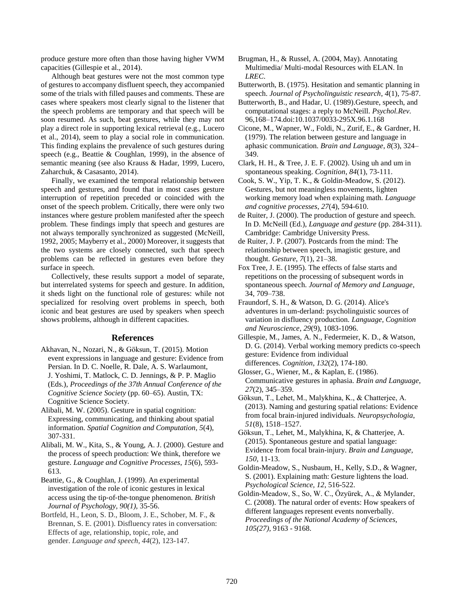produce gesture more often than those having higher VWM capacities (Gillespie et al., 2014).

Although beat gestures were not the most common type of gestures to accompany disfluent speech, they accompanied some of the trials with filled pauses and comments. These are cases where speakers most clearly signal to the listener that the speech problems are temporary and that speech will be soon resumed. As such, beat gestures, while they may not play a direct role in supporting lexical retrieval (e.g., Lucero et al., 2014), seem to play a social role in communication. This finding explains the prevalence of such gestures during speech (e.g., Beattie & Coughlan, 1999), in the absence of semantic meaning (see also Krauss & Hadar, 1999, Lucero, Zaharchuk, & Casasanto, 2014).

Finally, we examined the temporal relationship between speech and gestures, and found that in most cases gesture interruption of repetition preceded or coincided with the onset of the speech problem. Critically, there were only two instances where gesture problem manifested after the speech problem. These findings imply that speech and gestures are not always temporally synchronized as suggested (McNeill, [1992,](http://www.ncbi.nlm.nih.gov/pmc/articles/PMC4563879/#B36) [2005;](http://www.ncbi.nlm.nih.gov/pmc/articles/PMC4563879/#B37) Mayberry et al., 2000) Moreover, it suggests that the two systems are closely connected, such that speech problems can be reflected in gestures even before they surface in speech.

Collectively, these results support a model of separate, but interrelated systems for speech and gesture. In addition, it sheds light on the functional role of gestures: while not specialized for resolving overt problems in speech, both iconic and beat gestures are used by speakers when speech shows problems, although in different capacities.

#### **References**

- Akhavan, N., Nozari, N., & Göksun, T. (2015). Motion event expressions in language and gesture: Evidence from Persian. In D. C. Noelle, R. Dale, A. S. Warlaumont, J. Yoshimi, T. Matlock, C. D. Jennings, & P. P. Maglio (Eds.), *Proceedings of the 37th Annual Conference of the Cognitive Science Society* (pp. 60–65). Austin, TX: Cognitive Science Society.
- Alibali, M. W. (2005). Gesture in spatial cognition: Expressing, communicating, and thinking about spatial information. *Spatial Cognition and Computation*, *5*(4), 307-331.
- Alibali, M. W., Kita, S., & Young, A. J. (2000). Gesture and the process of speech production: We think, therefore we gesture. *Language and Cognitive Processes*, *15*(6), 593- 613.
- Beattie, G., & Coughlan, J. (1999). An experimental investigation of the role of iconic gestures in lexical access using the tip‐of‐the‐tongue phenomenon. *British Journal of Psychology, 90(1),* 35-56.
- Bortfeld, H., Leon, S. D., Bloom, J. E., Schober, M. F., & Brennan, S. E. (2001). Disfluency rates in conversation: Effects of age, relationship, topic, role, and gender. *Language and speech*, *44*(2), 123-147.
- Brugman, H., & Russel, A. (2004, May). Annotating Multimedia/ Multi-modal Resources with ELAN. In *LREC*.
- Butterworth, B. (1975). Hesitation and semantic planning in speech. *Journal of Psycholinguistic research*, *4*(1), 75-87.
- Butterworth, B., and Hadar, U. (1989).Gesture, speech, and computational stages: a reply to McNeill. *Psychol.Rev.*  96,168–174.doi:10.1037/0033-295X.96.1.168
- Cicone, M., Wapner, W., Foldi, N., Zurif, E., & Gardner, H. (1979). The relation between gesture and language in aphasic communication. *Brain and Language*, *8*(3), 324– 349.
- Clark, H. H., & Tree, J. E. F. (2002). Using uh and um in spontaneous speaking. *Cognition*, *84*(1), 73-111.
- Cook, S. W., Yip, T. K., & Goldin-Meadow, S. (2012). Gestures, but not meaningless movements, lighten working memory load when explaining math. *Language and cognitive processes*, *27*(4), 594-610.
- de Ruiter, J. (2000). The production of gesture and speech. In D. McNeill (Ed.), *Language and gesture* (pp. 284-311). Cambridge: Cambridge University Press.
- de Ruiter, J. P. (2007). Postcards from the mind: The relationship between speech, imagistic gesture, and thought. *Gesture*, *7*(1), 21–38.
- Fox Tree, J. E. (1995). The effects of false starts and repetitions on the processing of subsequent words in spontaneous speech. *Journal of Memory and Language*, 34, 709–738.
- Fraundorf, S. H., & Watson, D. G. (2014). Alice's adventures in um-derland: psycholinguistic sources of variation in disfluency production. *Language, Cognition and Neuroscience*, *29*(9), 1083-1096.
- Gillespie, M., James, A. N., Federmeier, K. D., & Watson, D. G. (2014). Verbal working memory predicts co-speech gesture: Evidence from individual differences. *Cognition*, *132*(2), 174-180.
- Glosser, G., Wiener, M., & Kaplan, E. (1986). Communicative gestures in aphasia. *Brain and Language*, *27*(2), 345–359.
- Göksun, T., Lehet, M., Malykhina, K., & Chatterjee, A. (2013). Naming and gesturing spatial relations: Evidence from focal brain-injured individuals. *Neuropsychologia*, *51*(8), 1518–1527.
- Göksun, T., Lehet, M., Malykhina, K, & Chatterjee, A. (2015). Spontaneous gesture and spatial language: Evidence from focal brain-injury. *Brain and Language, 150,* 11-13.
- Goldin-Meadow, S., Nusbaum, H., Kelly, S.D., & Wagner, S. (2001). Explaining math: Gesture lightens the load. *Psychological Science, 12*, 516-522.
- Goldin-Meadow, S., So, W. C., Özyürek, A., & Mylander, C. (2008). The natural order of events: How speakers of different languages represent events nonverbally*. Proceedings of the National Academy of Sciences, 105(27),* 9163 - 9168.